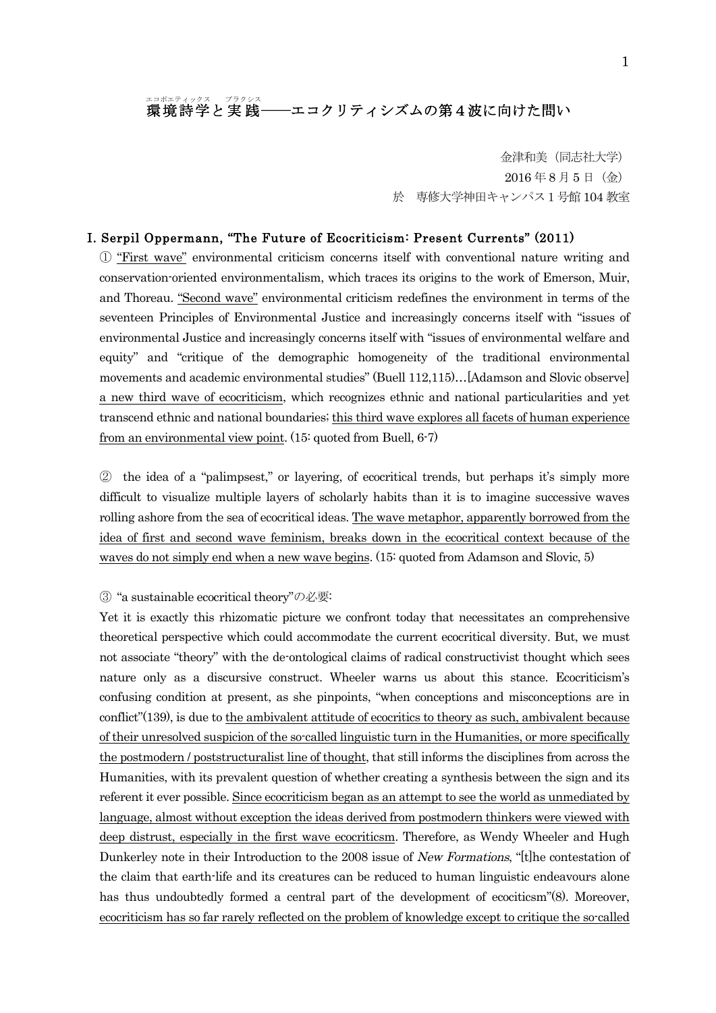#### <u>---\*---</u><br>環境詩学と実 践――エコクリティシズムの第4波に向けた問い プラクシス

金津和美(同志社大学) 2016 年 8 月 5 日(金) 於 専修大学神田キャンパス1号館 104 教室

## I. Serpil Oppermann, "The Future of Ecocriticism: Present Currents" (2011)

① "First wave" environmental criticism concerns itself with conventional nature writing and conservation-oriented environmentalism, which traces its origins to the work of Emerson, Muir, and Thoreau. "Second wave" environmental criticism redefines the environment in terms of the seventeen Principles of Environmental Justice and increasingly concerns itself with "issues of environmental Justice and increasingly concerns itself with "issues of environmental welfare and equity" and "critique of the demographic homogeneity of the traditional environmental movements and academic environmental studies" (Buell 112,115)…[Adamson and Slovic observe] a new third wave of ecocriticism, which recognizes ethnic and national particularities and yet transcend ethnic and national boundaries; this third wave explores all facets of human experience from an environmental view point. (15: quoted from Buell, 6-7)

② the idea of a "palimpsest," or layering, of ecocritical trends, but perhaps it's simply more difficult to visualize multiple layers of scholarly habits than it is to imagine successive waves rolling ashore from the sea of ecocritical ideas. The wave metaphor, apparently borrowed from the idea of first and second wave feminism, breaks down in the ecocritical context because of the waves do not simply end when a new wave begins. (15: quoted from Adamson and Slovic, 5)

#### ③ "a sustainable ecocritical theory"の必要:

Yet it is exactly this rhizomatic picture we confront today that necessitates an comprehensive theoretical perspective which could accommodate the current ecocritical diversity. But, we must not associate "theory" with the de-ontological claims of radical constructivist thought which sees nature only as a discursive construct. Wheeler warns us about this stance. Ecocriticism's confusing condition at present, as she pinpoints, "when conceptions and misconceptions are in conflict"(139), is due to the ambivalent attitude of ecocritics to theory as such, ambivalent because of their unresolved suspicion of the so-called linguistic turn in the Humanities, or more specifically the postmodern / poststructuralist line of thought, that still informs the disciplines from across the Humanities, with its prevalent question of whether creating a synthesis between the sign and its referent it ever possible. Since ecocriticism began as an attempt to see the world as unmediated by language, almost without exception the ideas derived from postmodern thinkers were viewed with deep distrust, especially in the first wave ecocriticsm. Therefore, as Wendy Wheeler and Hugh Dunkerley note in their Introduction to the 2008 issue of *New Formations*, "[t]he contestation of the claim that earth-life and its creatures can be reduced to human linguistic endeavours alone has thus undoubtedly formed a central part of the development of ecociticsm"(8). Moreover, ecocriticism has so far rarely reflected on the problem of knowledge except to critique the so-called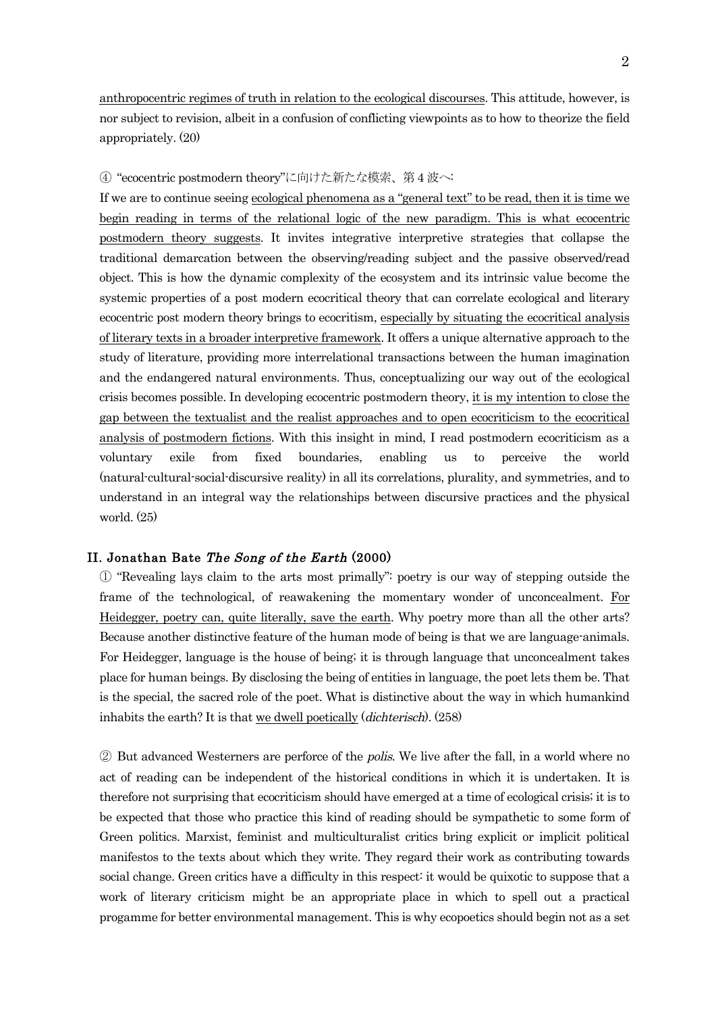anthropocentric regimes of truth in relation to the ecological discourses. This attitude, however, is nor subject to revision, albeit in a confusion of conflicting viewpoints as to how to theorize the field appropriately. (20)

#### ④ "ecocentric postmodern theory"に向けた新たな模索、第 4 波へ:

If we are to continue seeing ecological phenomena as a "general text" to be read, then it is time we begin reading in terms of the relational logic of the new paradigm. This is what ecocentric postmodern theory suggests. It invites integrative interpretive strategies that collapse the traditional demarcation between the observing/reading subject and the passive observed/read object. This is how the dynamic complexity of the ecosystem and its intrinsic value become the systemic properties of a post modern ecocritical theory that can correlate ecological and literary ecocentric post modern theory brings to ecocritism, especially by situating the ecocritical analysis of literary texts in a broader interpretive framework. It offers a unique alternative approach to the study of literature, providing more interrelational transactions between the human imagination and the endangered natural environments. Thus, conceptualizing our way out of the ecological crisis becomes possible. In developing ecocentric postmodern theory, it is my intention to close the gap between the textualist and the realist approaches and to open ecocriticism to the ecocritical analysis of postmodern fictions. With this insight in mind, I read postmodern ecocriticism as a voluntary exile from fixed boundaries, enabling us to perceive the world (natural-cultural-social-discursive reality) in all its correlations, plurality, and symmetries, and to understand in an integral way the relationships between discursive practices and the physical world. (25)

## II. Jonathan Bate The Song of the Earth (2000)

① "Revealing lays claim to the arts most primally": poetry is our way of stepping outside the frame of the technological, of reawakening the momentary wonder of unconcealment. For Heidegger, poetry can, quite literally, save the earth. Why poetry more than all the other arts? Because another distinctive feature of the human mode of being is that we are language-animals. For Heidegger, language is the house of being; it is through language that unconcealment takes place for human beings. By disclosing the being of entities in language, the poet lets them be. That is the special, the sacred role of the poet. What is distinctive about the way in which humankind inhabits the earth? It is that we dwell poetically (dichterisch). (258)

② But advanced Westerners are perforce of the polis. We live after the fall, in a world where no act of reading can be independent of the historical conditions in which it is undertaken. It is therefore not surprising that ecocriticism should have emerged at a time of ecological crisis; it is to be expected that those who practice this kind of reading should be sympathetic to some form of Green politics. Marxist, feminist and multiculturalist critics bring explicit or implicit political manifestos to the texts about which they write. They regard their work as contributing towards social change. Green critics have a difficulty in this respect: it would be quixotic to suppose that a work of literary criticism might be an appropriate place in which to spell out a practical progamme for better environmental management. This is why ecopoetics should begin not as a set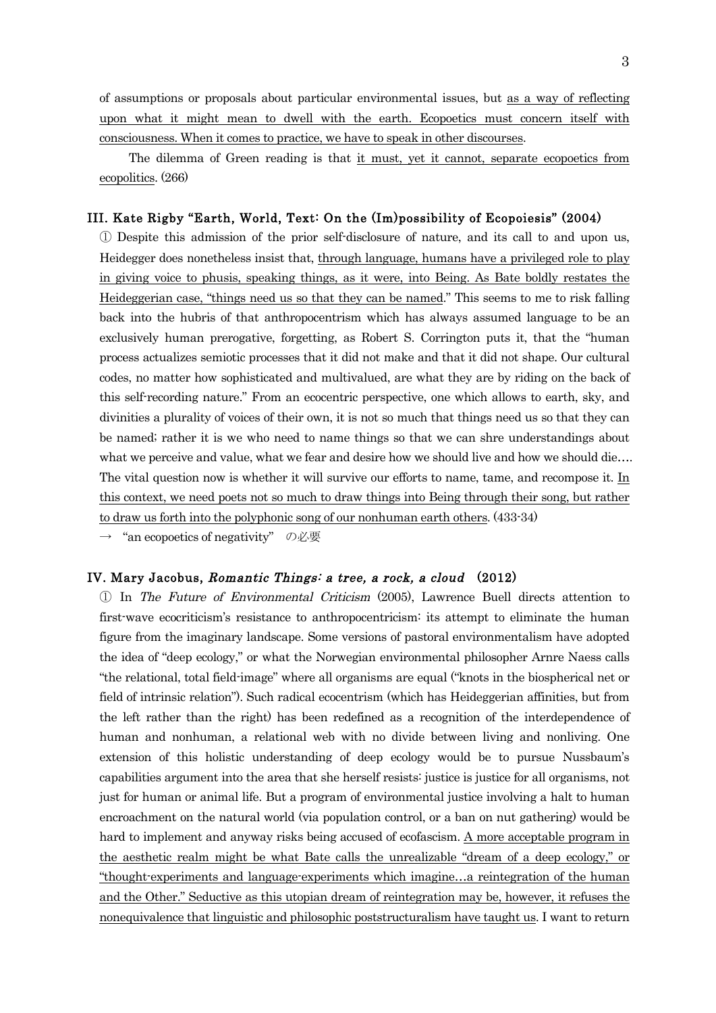of assumptions or proposals about particular environmental issues, but as a way of reflecting upon what it might mean to dwell with the earth. Ecopoetics must concern itself with consciousness. When it comes to practice, we have to speak in other discourses.

 The dilemma of Green reading is that it must, yet it cannot, separate ecopoetics from ecopolitics. (266)

# III. Kate Rigby "Earth, World, Text: On the (Im)possibility of Ecopoiesis" (2004)

① Despite this admission of the prior self-disclosure of nature, and its call to and upon us, Heidegger does nonetheless insist that, through language, humans have a privileged role to play in giving voice to phusis, speaking things, as it were, into Being. As Bate boldly restates the Heideggerian case, "things need us so that they can be named." This seems to me to risk falling back into the hubris of that anthropocentrism which has always assumed language to be an exclusively human prerogative, forgetting, as Robert S. Corrington puts it, that the "human process actualizes semiotic processes that it did not make and that it did not shape. Our cultural codes, no matter how sophisticated and multivalued, are what they are by riding on the back of this self-recording nature." From an ecocentric perspective, one which allows to earth, sky, and divinities a plurality of voices of their own, it is not so much that things need us so that they can be named; rather it is we who need to name things so that we can shre understandings about what we perceive and value, what we fear and desire how we should live and how we should die.... The vital question now is whether it will survive our efforts to name, tame, and recompose it. In this context, we need poets not so much to draw things into Being through their song, but rather to draw us forth into the polyphonic song of our nonhuman earth others. (433-34)

"an ecopoetics of negativity" の必要

### IV. Mary Jacobus, Romantic Things: a tree, a rock, a cloud (2012)

① In The Future of Environmental Criticism (2005), Lawrence Buell directs attention to first-wave ecocriticism's resistance to anthropocentricism: its attempt to eliminate the human figure from the imaginary landscape. Some versions of pastoral environmentalism have adopted the idea of "deep ecology," or what the Norwegian environmental philosopher Arnre Naess calls "the relational, total field-image" where all organisms are equal ("knots in the biospherical net or field of intrinsic relation"). Such radical ecocentrism (which has Heideggerian affinities, but from the left rather than the right) has been redefined as a recognition of the interdependence of human and nonhuman, a relational web with no divide between living and nonliving. One extension of this holistic understanding of deep ecology would be to pursue Nussbaum's capabilities argument into the area that she herself resists: justice is justice for all organisms, not just for human or animal life. But a program of environmental justice involving a halt to human encroachment on the natural world (via population control, or a ban on nut gathering) would be hard to implement and anyway risks being accused of ecofascism. A more acceptable program in the aesthetic realm might be what Bate calls the unrealizable "dream of a deep ecology," or "thought-experiments and language-experiments which imagine…a reintegration of the human and the Other." Seductive as this utopian dream of reintegration may be, however, it refuses the nonequivalence that linguistic and philosophic poststructuralism have taught us. I want to return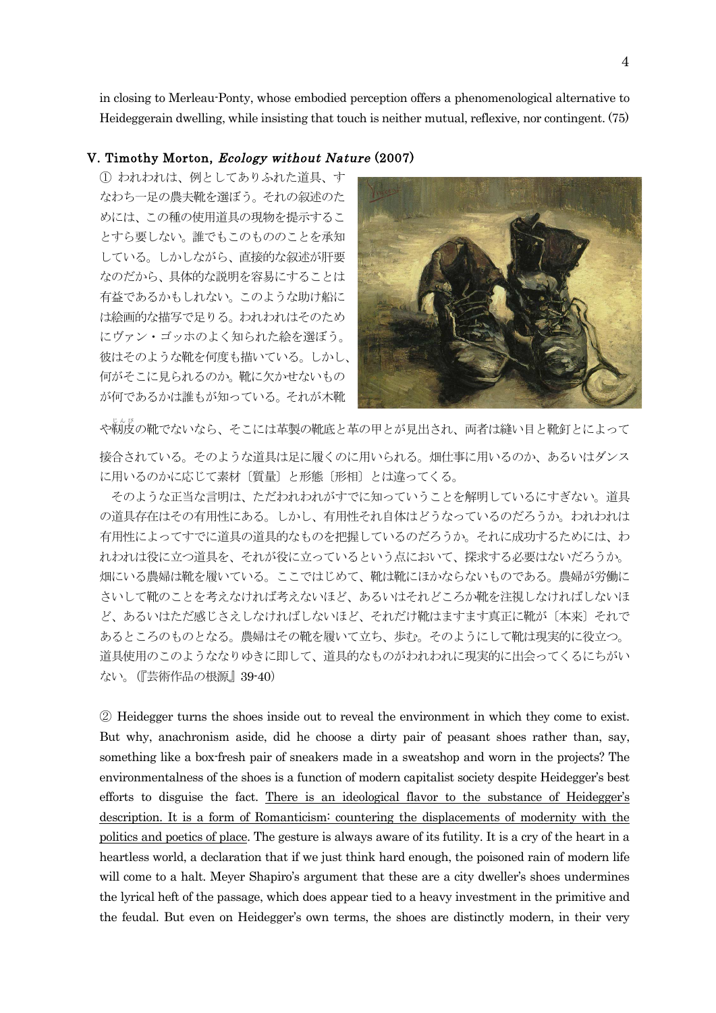in closing to Merleau-Ponty, whose embodied perception offers a phenomenological alternative to Heideggerain dwelling, while insisting that touch is neither mutual, reflexive, nor contingent. (75)

### V. Timothy Morton, Ecology without Nature (2007)

① われわれは、例としてありふれた道具、す なわち一足の農夫靴を選ぼう。それの叙述のた めには、この種の使用道具の現物を提示するこ とすら要しない。誰でもこのもののことを承知 している。しかしながら、直接的な叙述が肝要 なのだから、具体的な説明を容易にすることは 有益であるかもしれない。このような助け船に は絵画的な描写で足りる。われわれはそのため にヴァン・ゴッホのよく知られた絵を選ぼう。 彼はそのような靴を何度も描いている。しかし、 何がそこに見られるのか。靴に欠かせないもの が何であるかは誰もが知っている。それが木靴



ゃ<br>靭皮の靴でないなら、そこには革製の靴底と革の甲とが見出され、両者は縫い目と靴釘とによって 接合されている。そのような道具は足に履くのに用いられる。畑仕事に用いるのか、あるいはダンス に用いるのかに応じて素材〔質量〕と形態〔形相〕とは違ってくる。

そのような正当な言明は、ただわれわれがすでに知っていうことを解明しているにすぎない。道具 の道具存在はその有用性にある。しかし、有用性それ自体はどうなっているのだろうか。われわれは 有用性によってすでに道具の道具的なものを把握しているのだろうか。それに成功するためには、わ れわれは役に立つ道具を、それが役に立っているという点において、探求する必要はないだろうか。 畑にいる農婦は靴を履いている。ここではじめて、靴は靴にほかならないものである。農婦が労働に さいして靴のことを考えなければ考えないほど、あるいはそれどころか靴を注視しなければしないほ ど、あるいはただ感じさえしなければしないほど、それだけ靴はますます真正に靴が〔本来〕それで あるところのものとなる。農婦はその靴を履いて立ち、歩む。そのようにして靴は現実的に役立つ。 道具使用のこのようななりゆきに即して、道具的なものがわれわれに現実的に出会ってくるにちがい ない。(『芸術作品の根源』39-40)

② Heidegger turns the shoes inside out to reveal the environment in which they come to exist. But why, anachronism aside, did he choose a dirty pair of peasant shoes rather than, say, something like a box-fresh pair of sneakers made in a sweatshop and worn in the projects? The environmentalness of the shoes is a function of modern capitalist society despite Heidegger's best efforts to disguise the fact. There is an ideological flavor to the substance of Heidegger's description. It is a form of Romanticism: countering the displacements of modernity with the politics and poetics of place. The gesture is always aware of its futility. It is a cry of the heart in a heartless world, a declaration that if we just think hard enough, the poisoned rain of modern life will come to a halt. Meyer Shapiro's argument that these are a city dweller's shoes undermines the lyrical heft of the passage, which does appear tied to a heavy investment in the primitive and the feudal. But even on Heidegger's own terms, the shoes are distinctly modern, in their very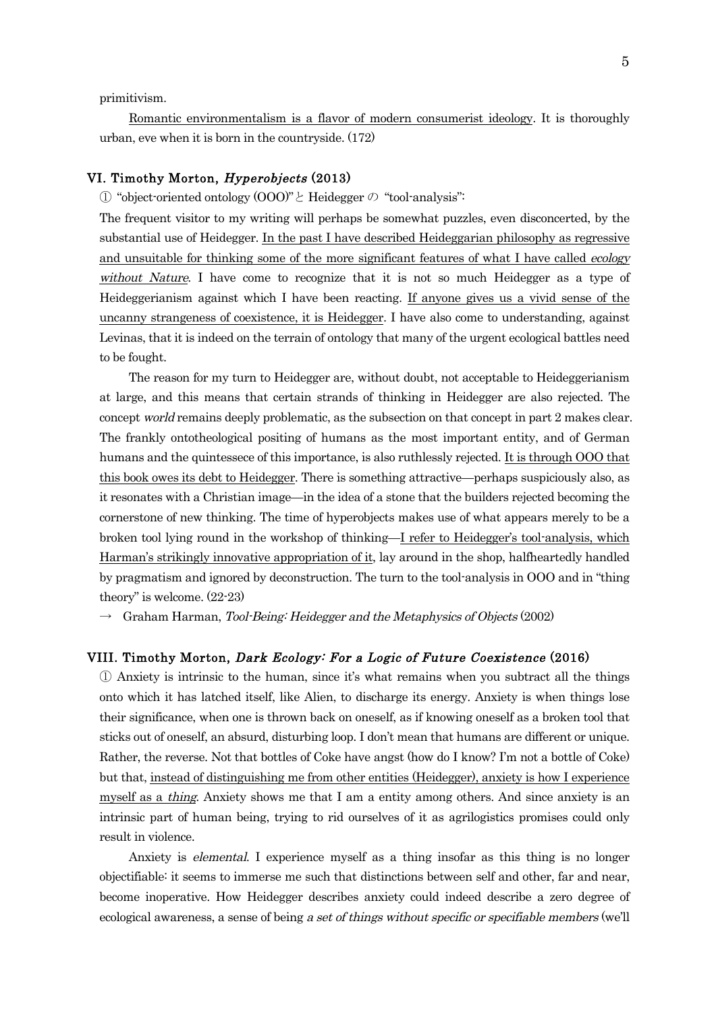primitivism.

 Romantic environmentalism is a flavor of modern consumerist ideology. It is thoroughly urban, eve when it is born in the countryside. (172)

## VI. Timothy Morton, Hyperobjects (2013)

 $\textcircled{1}$  "object-oriented ontology  $(OOO)$ "  $\&$  Heidegger  $\oslash$  "tool-analysis":

The frequent visitor to my writing will perhaps be somewhat puzzles, even disconcerted, by the substantial use of Heidegger. In the past I have described Heideggarian philosophy as regressive and unsuitable for thinking some of the more significant features of what I have called ecology without Nature. I have come to recognize that it is not so much Heidegger as a type of Heideggerianism against which I have been reacting. If anyone gives us a vivid sense of the uncanny strangeness of coexistence, it is Heidegger. I have also come to understanding, against Levinas, that it is indeed on the terrain of ontology that many of the urgent ecological battles need to be fought.

 The reason for my turn to Heidegger are, without doubt, not acceptable to Heideggerianism at large, and this means that certain strands of thinking in Heidegger are also rejected. The concept world remains deeply problematic, as the subsection on that concept in part 2 makes clear. The frankly ontotheological positing of humans as the most important entity, and of German humans and the quintessece of this importance, is also ruthlessly rejected. It is through OOO that this book owes its debt to Heidegger. There is something attractive—perhaps suspiciously also, as it resonates with a Christian image—in the idea of a stone that the builders rejected becoming the cornerstone of new thinking. The time of hyperobjects makes use of what appears merely to be a broken tool lying round in the workshop of thinking—I refer to Heidegger's tool-analysis, which Harman's strikingly innovative appropriation of it, lay around in the shop, halfheartedly handled by pragmatism and ignored by deconstruction. The turn to the tool-analysis in OOO and in "thing theory" is welcome. (22-23)

 $\rightarrow$  Graham Harman, Tool-Being: Heidegger and the Metaphysics of Objects (2002)

# VIII. Timothy Morton, Dark Ecology: For a Logic of Future Coexistence (2016)

① Anxiety is intrinsic to the human, since it's what remains when you subtract all the things onto which it has latched itself, like Alien, to discharge its energy. Anxiety is when things lose their significance, when one is thrown back on oneself, as if knowing oneself as a broken tool that sticks out of oneself, an absurd, disturbing loop. I don't mean that humans are different or unique. Rather, the reverse. Not that bottles of Coke have angst (how do I know? I'm not a bottle of Coke) but that, instead of distinguishing me from other entities (Heidegger), anxiety is how I experience myself as a thing. Anxiety shows me that I am a entity among others. And since anxiety is an intrinsic part of human being, trying to rid ourselves of it as agrilogistics promises could only result in violence.

 Anxiety is elemental. I experience myself as a thing insofar as this thing is no longer objectifiable: it seems to immerse me such that distinctions between self and other, far and near, become inoperative. How Heidegger describes anxiety could indeed describe a zero degree of ecological awareness, a sense of being a set of things without specific or specifiable members (we'll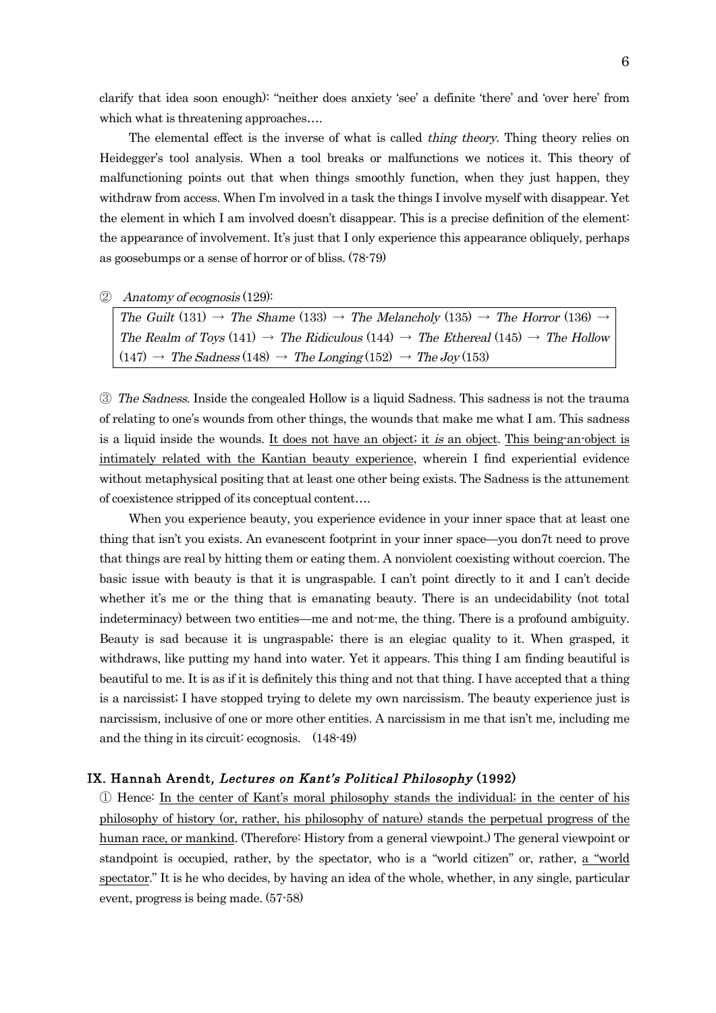clarify that idea soon enough): "neither does anxiety 'see' a definite 'there' and 'over here' from which what is threatening approaches....

 The elemental effect is the inverse of what is called thing theory. Thing theory relies on Heidegger's tool analysis. When a tool breaks or malfunctions we notices it. This theory of malfunctioning points out that when things smoothly function, when they just happen, they withdraw from access. When I'm involved in a task the things I involve myself with disappear. Yet the element in which I am involved doesn't disappear. This is a precise definition of the element: the appearance of involvement. It's just that I only experience this appearance obliquely, perhaps as goosebumps or a sense of horror or of bliss. (78-79)

② Anatomy of ecognosis (129):

The Guilt (131)  $\rightarrow$  The Shame (133)  $\rightarrow$  The Melancholy (135)  $\rightarrow$  The Horror (136)  $\rightarrow$ The Realm of Toys (141)  $\rightarrow$  The Ridiculous (144)  $\rightarrow$  The Ethereal (145)  $\rightarrow$  The Hollow  $(147) \rightarrow$  The Sadness (148)  $\rightarrow$  The Longing (152)  $\rightarrow$  The Joy (153)

③ The Sadness. Inside the congealed Hollow is a liquid Sadness. This sadness is not the trauma of relating to one's wounds from other things, the wounds that make me what I am. This sadness is a liquid inside the wounds. It does not have an object; it is an object. This being-an-object is intimately related with the Kantian beauty experience, wherein I find experiential evidence without metaphysical positing that at least one other being exists. The Sadness is the attunement of coexistence stripped of its conceptual content….

When you experience beauty, you experience evidence in your inner space that at least one thing that isn't you exists. An evanescent footprint in your inner space—you don7t need to prove that things are real by hitting them or eating them. A nonviolent coexisting without coercion. The basic issue with beauty is that it is ungraspable. I can't point directly to it and I can't decide whether it's me or the thing that is emanating beauty. There is an undecidability (not total indeterminacy) between two entities—me and not-me, the thing. There is a profound ambiguity. Beauty is sad because it is ungraspable; there is an elegiac quality to it. When grasped, it withdraws, like putting my hand into water. Yet it appears. This thing I am finding beautiful is beautiful to me. It is as if it is definitely this thing and not that thing. I have accepted that a thing is a narcissist; I have stopped trying to delete my own narcissism. The beauty experience just is narcissism, inclusive of one or more other entities. A narcissism in me that isn't me, including me and the thing in its circuit: ecognosis. (148-49)

## IX. Hannah Arendt, Lectures on Kant's Political Philosophy (1992)

① Hence: In the center of Kant's moral philosophy stands the individual; in the center of his philosophy of history (or, rather, his philosophy of nature) stands the perpetual progress of the human race, or mankind. (Therefore: History from a general viewpoint.) The general viewpoint or standpoint is occupied, rather, by the spectator, who is a "world citizen" or, rather, a "world spectator." It is he who decides, by having an idea of the whole, whether, in any single, particular event, progress is being made. (57-58)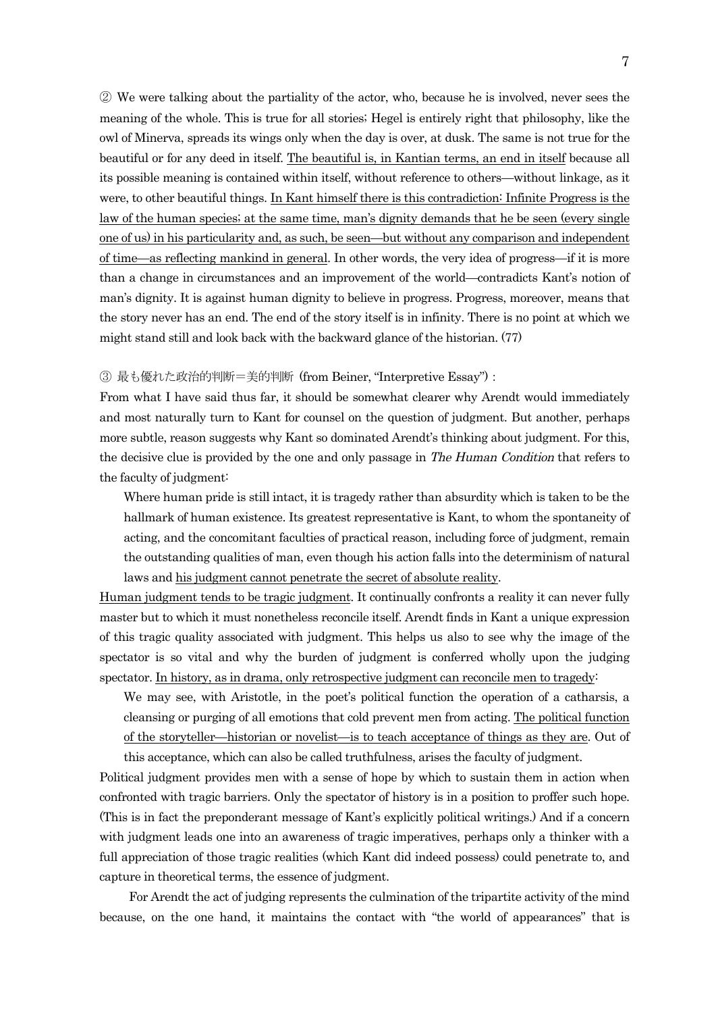② We were talking about the partiality of the actor, who, because he is involved, never sees the meaning of the whole. This is true for all stories; Hegel is entirely right that philosophy, like the owl of Minerva, spreads its wings only when the day is over, at dusk. The same is not true for the beautiful or for any deed in itself. The beautiful is, in Kantian terms, an end in itself because all its possible meaning is contained within itself, without reference to others—without linkage, as it were, to other beautiful things. In Kant himself there is this contradiction: Infinite Progress is the law of the human species; at the same time, man's dignity demands that he be seen (every single one of us) in his particularity and, as such, be seen—but without any comparison and independent of time—as reflecting mankind in general. In other words, the very idea of progress—if it is more than a change in circumstances and an improvement of the world—contradicts Kant's notion of man's dignity. It is against human dignity to believe in progress. Progress, moreover, means that the story never has an end. The end of the story itself is in infinity. There is no point at which we might stand still and look back with the backward glance of the historian. (77)

#### ③ 最も優れた政治的判断=美的判断 (from Beiner, "Interpretive Essay"):

From what I have said thus far, it should be somewhat clearer why Arendt would immediately and most naturally turn to Kant for counsel on the question of judgment. But another, perhaps more subtle, reason suggests why Kant so dominated Arendt's thinking about judgment. For this, the decisive clue is provided by the one and only passage in The Human Condition that refers to the faculty of judgment:

Where human pride is still intact, it is tragedy rather than absurdity which is taken to be the hallmark of human existence. Its greatest representative is Kant, to whom the spontaneity of acting, and the concomitant faculties of practical reason, including force of judgment, remain the outstanding qualities of man, even though his action falls into the determinism of natural laws and his judgment cannot penetrate the secret of absolute reality.

Human judgment tends to be tragic judgment. It continually confronts a reality it can never fully master but to which it must nonetheless reconcile itself. Arendt finds in Kant a unique expression of this tragic quality associated with judgment. This helps us also to see why the image of the spectator is so vital and why the burden of judgment is conferred wholly upon the judging spectator. In history, as in drama, only retrospective judgment can reconcile men to tragedy:

We may see, with Aristotle, in the poet's political function the operation of a catharsis, a cleansing or purging of all emotions that cold prevent men from acting. The political function of the storyteller—historian or novelist—is to teach acceptance of things as they are. Out of this acceptance, which can also be called truthfulness, arises the faculty of judgment.

Political judgment provides men with a sense of hope by which to sustain them in action when confronted with tragic barriers. Only the spectator of history is in a position to proffer such hope. (This is in fact the preponderant message of Kant's explicitly political writings.) And if a concern with judgment leads one into an awareness of tragic imperatives, perhaps only a thinker with a full appreciation of those tragic realities (which Kant did indeed possess) could penetrate to, and capture in theoretical terms, the essence of judgment.

 For Arendt the act of judging represents the culmination of the tripartite activity of the mind because, on the one hand, it maintains the contact with "the world of appearances" that is